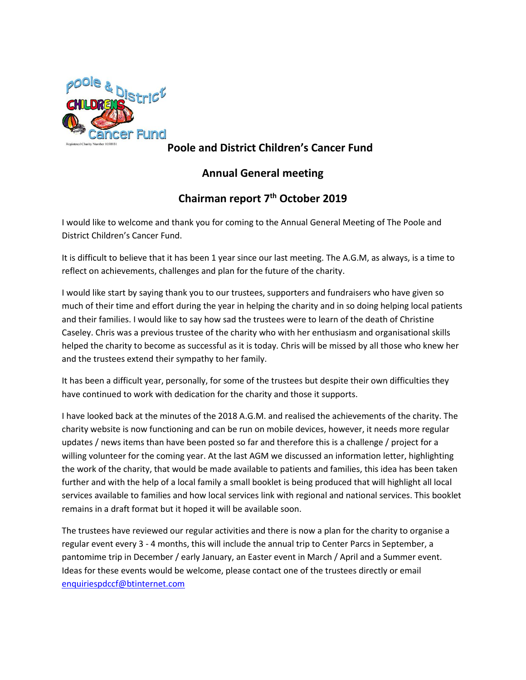

## **Poole and District Children's Cancer Fund**

## **Annual General meeting**

## **Chairman report 7 th October 2019**

I would like to welcome and thank you for coming to the Annual General Meeting of The Poole and District Children's Cancer Fund.

It is difficult to believe that it has been 1 year since our last meeting. The A.G.M, as always, is a time to reflect on achievements, challenges and plan for the future of the charity.

I would like start by saying thank you to our trustees, supporters and fundraisers who have given so much of their time and effort during the year in helping the charity and in so doing helping local patients and their families. I would like to say how sad the trustees were to learn of the death of Christine Caseley. Chris was a previous trustee of the charity who with her enthusiasm and organisational skills helped the charity to become as successful as it is today. Chris will be missed by all those who knew her and the trustees extend their sympathy to her family.

It has been a difficult year, personally, for some of the trustees but despite their own difficulties they have continued to work with dedication for the charity and those it supports.

I have looked back at the minutes of the 2018 A.G.M. and realised the achievements of the charity. The charity website is now functioning and can be run on mobile devices, however, it needs more regular updates / news items than have been posted so far and therefore this is a challenge / project for a willing volunteer for the coming year. At the last AGM we discussed an information letter, highlighting the work of the charity, that would be made available to patients and families, this idea has been taken further and with the help of a local family a small booklet is being produced that will highlight all local services available to families and how local services link with regional and national services. This booklet remains in a draft format but it hoped it will be available soon.

The trustees have reviewed our regular activities and there is now a plan for the charity to organise a regular event every 3 - 4 months, this will include the annual trip to Center Parcs in September, a pantomime trip in December / early January, an Easter event in March / April and a Summer event. Ideas for these events would be welcome, please contact one of the trustees directly or email [enquiriespdccf@btinternet.com](mailto:enquiriespdccf@btinternet.com)